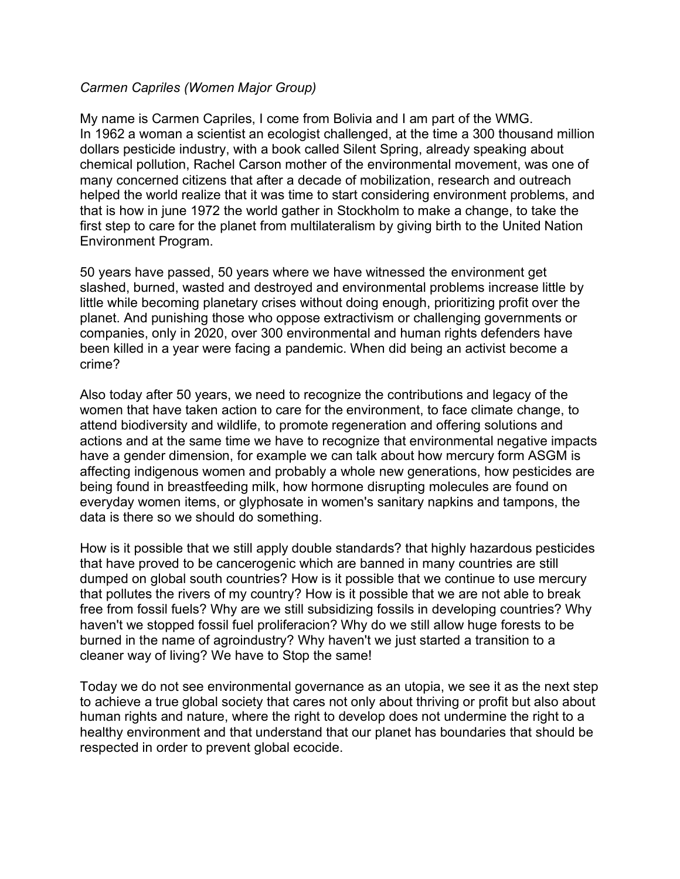## *Carmen Capriles (Women Major Group)*

My name is Carmen Capriles, I come from Bolivia and I am part of the WMG. In 1962 a woman a scientist an ecologist challenged, at the time a 300 thousand million dollars pesticide industry, with a book called Silent Spring, already speaking about chemical pollution, Rachel Carson mother of the environmental movement, was one of many concerned citizens that after a decade of mobilization, research and outreach helped the world realize that it was time to start considering environment problems, and that is how in june 1972 the world gather in Stockholm to make a change, to take the first step to care for the planet from multilateralism by giving birth to the United Nation Environment Program.

50 years have passed, 50 years where we have witnessed the environment get slashed, burned, wasted and destroyed and environmental problems increase little by little while becoming planetary crises without doing enough, prioritizing profit over the planet. And punishing those who oppose extractivism or challenging governments or companies, only in 2020, over 300 environmental and human rights defenders have been killed in a year were facing a pandemic. When did being an activist become a crime?

Also today after 50 years, we need to recognize the contributions and legacy of the women that have taken action to care for the environment, to face climate change, to attend biodiversity and wildlife, to promote regeneration and offering solutions and actions and at the same time we have to recognize that environmental negative impacts have a gender dimension, for example we can talk about how mercury form ASGM is affecting indigenous women and probably a whole new generations, how pesticides are being found in breastfeeding milk, how hormone disrupting molecules are found on everyday women items, or glyphosate in women's sanitary napkins and tampons, the data is there so we should do something.

How is it possible that we still apply double standards? that highly hazardous pesticides that have proved to be cancerogenic which are banned in many countries are still dumped on global south countries? How is it possible that we continue to use mercury that pollutes the rivers of my country? How is it possible that we are not able to break free from fossil fuels? Why are we still subsidizing fossils in developing countries? Why haven't we stopped fossil fuel proliferacion? Why do we still allow huge forests to be burned in the name of agroindustry? Why haven't we just started a transition to a cleaner way of living? We have to Stop the same!

Today we do not see environmental governance as an utopia, we see it as the next step to achieve a true global society that cares not only about thriving or profit but also about human rights and nature, where the right to develop does not undermine the right to a healthy environment and that understand that our planet has boundaries that should be respected in order to prevent global ecocide.